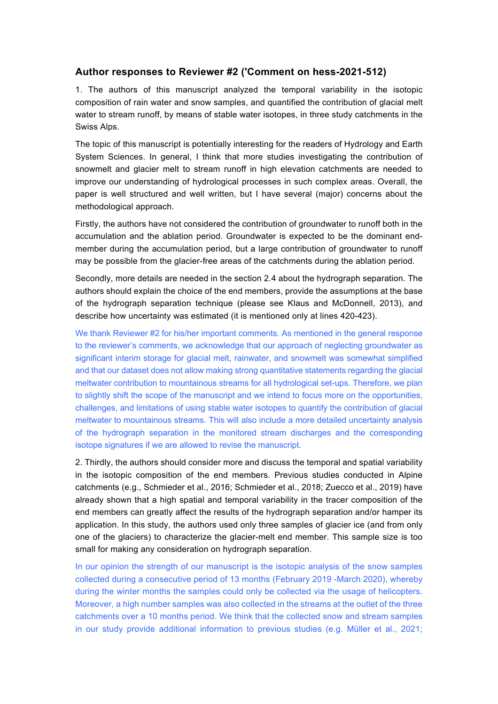# **Author responses to Reviewer #2 ('Comment on hess-2021-512)**

1. The authors of this manuscript analyzed the temporal variability in the isotopic composition of rain water and snow samples, and quantified the contribution of glacial melt water to stream runoff, by means of stable water isotopes, in three study catchments in the Swiss Alps.

The topic of this manuscript is potentially interesting for the readers of Hydrology and Earth System Sciences. In general, I think that more studies investigating the contribution of snowmelt and glacier melt to stream runoff in high elevation catchments are needed to improve our understanding of hydrological processes in such complex areas. Overall, the paper is well structured and well written, but I have several (major) concerns about the methodological approach.

Firstly, the authors have not considered the contribution of groundwater to runoff both in the accumulation and the ablation period. Groundwater is expected to be the dominant endmember during the accumulation period, but a large contribution of groundwater to runoff may be possible from the glacier-free areas of the catchments during the ablation period.

Secondly, more details are needed in the section 2.4 about the hydrograph separation. The authors should explain the choice of the end members, provide the assumptions at the base of the hydrograph separation technique (please see Klaus and McDonnell, 2013), and describe how uncertainty was estimated (it is mentioned only at lines 420-423).

We thank Reviewer #2 for his/her important comments. As mentioned in the general response to the reviewer's comments, we acknowledge that our approach of neglecting groundwater as significant interim storage for glacial melt, rainwater, and snowmelt was somewhat simplified and that our dataset does not allow making strong quantitative statements regarding the glacial meltwater contribution to mountainous streams for all hydrological set-ups. Therefore, we plan to slightly shift the scope of the manuscript and we intend to focus more on the opportunities, challenges, and limitations of using stable water isotopes to quantify the contribution of glacial meltwater to mountainous streams. This will also include a more detailed uncertainty analysis of the hydrograph separation in the monitored stream discharges and the corresponding isotope signatures if we are allowed to revise the manuscript.

2. Thirdly, the authors should consider more and discuss the temporal and spatial variability in the isotopic composition of the end members. Previous studies conducted in Alpine catchments (e.g., Schmieder et al., 2016; Schmieder et al., 2018; Zuecco et al., 2019) have already shown that a high spatial and temporal variability in the tracer composition of the end members can greatly affect the results of the hydrograph separation and/or hamper its application. In this study, the authors used only three samples of glacier ice (and from only one of the glaciers) to characterize the glacier-melt end member. This sample size is too small for making any consideration on hydrograph separation.

In our opinion the strength of our manuscript is the isotopic analysis of the snow samples collected during a consecutive period of 13 months (February 2019 -March 2020), whereby during the winter months the samples could only be collected via the usage of helicopters. Moreover, a high number samples was also collected in the streams at the outlet of the three catchments over a 10 months period. We think that the collected snow and stream samples in our study provide additional information to previous studies (e.g. Müller et al., 2021;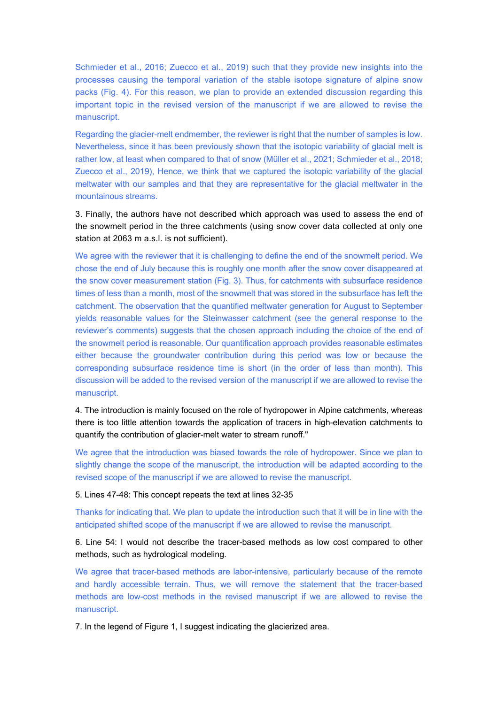Schmieder et al., 2016; Zuecco et al., 2019) such that they provide new insights into the processes causing the temporal variation of the stable isotope signature of alpine snow packs (Fig. 4). For this reason, we plan to provide an extended discussion regarding this important topic in the revised version of the manuscript if we are allowed to revise the manuscript.

Regarding the glacier-melt endmember, the reviewer is right that the number of samples is low. Nevertheless, since it has been previously shown that the isotopic variability of glacial melt is rather low, at least when compared to that of snow (Müller et al., 2021; Schmieder et al., 2018; Zuecco et al., 2019), Hence, we think that we captured the isotopic variability of the glacial meltwater with our samples and that they are representative for the glacial meltwater in the mountainous streams.

3. Finally, the authors have not described which approach was used to assess the end of the snowmelt period in the three catchments (using snow cover data collected at only one station at 2063 m a.s.l. is not sufficient).

We agree with the reviewer that it is challenging to define the end of the snowmelt period. We chose the end of July because this is roughly one month after the snow cover disappeared at the snow cover measurement station (Fig. 3). Thus, for catchments with subsurface residence times of less than a month, most of the snowmelt that was stored in the subsurface has left the catchment. The observation that the quantified meltwater generation for August to September yields reasonable values for the Steinwasser catchment (see the general response to the reviewer's comments) suggests that the chosen approach including the choice of the end of the snowmelt period is reasonable. Our quantification approach provides reasonable estimates either because the groundwater contribution during this period was low or because the corresponding subsurface residence time is short (in the order of less than month). This discussion will be added to the revised version of the manuscript if we are allowed to revise the manuscript.

4. The introduction is mainly focused on the role of hydropower in Alpine catchments, whereas there is too little attention towards the application of tracers in high-elevation catchments to quantify the contribution of glacier-melt water to stream runoff."

We agree that the introduction was biased towards the role of hydropower. Since we plan to slightly change the scope of the manuscript, the introduction will be adapted according to the revised scope of the manuscript if we are allowed to revise the manuscript.

# 5. Lines 47-48: This concept repeats the text at lines 32-35

Thanks for indicating that. We plan to update the introduction such that it will be in line with the anticipated shifted scope of the manuscript if we are allowed to revise the manuscript.

6. Line 54: I would not describe the tracer-based methods as low cost compared to other methods, such as hydrological modeling.

We agree that tracer-based methods are labor-intensive, particularly because of the remote and hardly accessible terrain. Thus, we will remove the statement that the tracer-based methods are low-cost methods in the revised manuscript if we are allowed to revise the manuscript.

7. In the legend of Figure 1, I suggest indicating the glacierized area.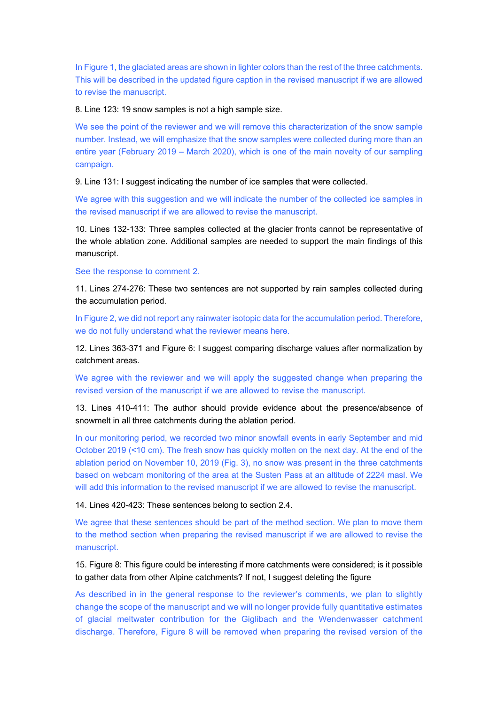In Figure 1, the glaciated areas are shown in lighter colors than the rest of the three catchments. This will be described in the updated figure caption in the revised manuscript if we are allowed to revise the manuscript.

# 8. Line 123: 19 snow samples is not a high sample size.

We see the point of the reviewer and we will remove this characterization of the snow sample number. Instead, we will emphasize that the snow samples were collected during more than an entire year (February 2019 – March 2020), which is one of the main novelty of our sampling campaign.

9. Line 131: I suggest indicating the number of ice samples that were collected.

We agree with this suggestion and we will indicate the number of the collected ice samples in the revised manuscript if we are allowed to revise the manuscript.

10. Lines 132-133: Three samples collected at the glacier fronts cannot be representative of the whole ablation zone. Additional samples are needed to support the main findings of this manuscript.

See the response to comment 2.

11. Lines 274-276: These two sentences are not supported by rain samples collected during the accumulation period.

In Figure 2, we did not report any rainwater isotopic data for the accumulation period. Therefore, we do not fully understand what the reviewer means here.

12. Lines 363-371 and Figure 6: I suggest comparing discharge values after normalization by catchment areas.

We agree with the reviewer and we will apply the suggested change when preparing the revised version of the manuscript if we are allowed to revise the manuscript.

13. Lines 410-411: The author should provide evidence about the presence/absence of snowmelt in all three catchments during the ablation period.

In our monitoring period, we recorded two minor snowfall events in early September and mid October 2019 (<10 cm). The fresh snow has quickly molten on the next day. At the end of the ablation period on November 10, 2019 (Fig. 3), no snow was present in the three catchments based on webcam monitoring of the area at the Susten Pass at an altitude of 2224 masl. We will add this information to the revised manuscript if we are allowed to revise the manuscript.

14. Lines 420-423: These sentences belong to section 2.4.

We agree that these sentences should be part of the method section. We plan to move them to the method section when preparing the revised manuscript if we are allowed to revise the manuscript.

15. Figure 8: This figure could be interesting if more catchments were considered; is it possible to gather data from other Alpine catchments? If not, I suggest deleting the figure

As described in in the general response to the reviewer's comments, we plan to slightly change the scope of the manuscript and we will no longer provide fully quantitative estimates of glacial meltwater contribution for the Giglibach and the Wendenwasser catchment discharge. Therefore, Figure 8 will be removed when preparing the revised version of the